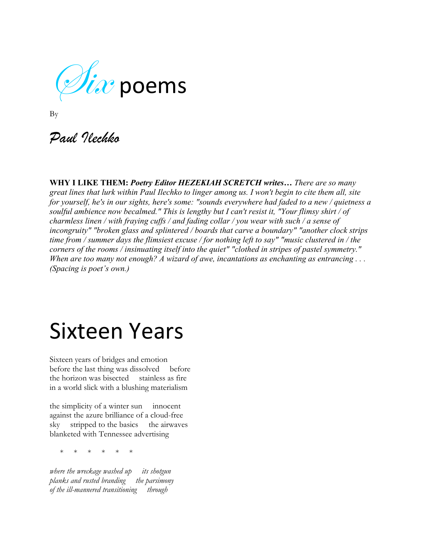$\mathscr{V}\hspace{-1.5mm}\mathit{is}$  poems

| I<br>۰, | I |
|---------|---|

*Paul Ilechko*

**WHY I LIKE THEM:** *Poetry Editor HEZEKIAH SCRETCH writes… There are so many great lines that lurk within Paul Ilechko to linger among us. I won't begin to cite them all, site for yourself, he's in our sights, here's some: "sounds everywhere had faded to a new / quietness a soulful ambience now becalmed." This is lengthy but I can't resist it, "Your flimsy shirt / of charmless linen / with fraying cuffs / and fading collar / you wear with such / a sense of incongruity" "broken glass and splintered / boards that carve a boundary" "another clock strips time from / summer days the flimsiest excuse / for nothing left to say" "music clustered in / the corners of the rooms / insinuating itself into the quiet" "clothed in stripes of pastel symmetry." When are too many not enough? A wizard of awe, incantations as enchanting as entrancing . . . (Spacing is poet's own.)*

#### Sixteen Years

Sixteen years of bridges and emotion before the last thing was dissolved before the horizon was bisected stainless as fire in a world slick with a blushing materialism

the simplicity of a winter sun innocent against the azure brilliance of a cloud-free sky stripped to the basics the airwaves blanketed with Tennessee advertising

\* \* \* \* \* \*

*where the wreckage washed up its shotgun planks and rusted branding the parsimony of the ill-mannered transitioning through*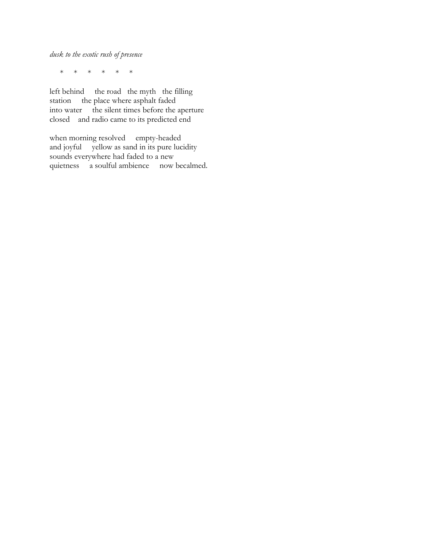*dusk to the exotic rush of presence*

\* \* \* \* \* \*

left behind the road the myth the filling station the place where asphalt faded into water the silent times before the aperture closed and radio came to its predicted end

when morning resolved empty-headed and joyful yellow as sand in its pure lucidity sounds everywhere had faded to a new quietness a soulful ambience now becalmed.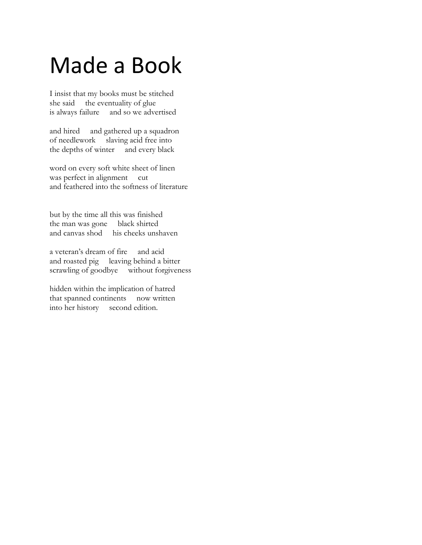#### Made a Book

I insist that my books must be stitched she said the eventuality of glue is always failure and so we advertised

and hired and gathered up a squadron of needlework slaving acid free into the depths of winter and every black

word on every soft white sheet of linen was perfect in alignment cut and feathered into the softness of literature

but by the time all this was finished the man was gone black shirted and canvas shod his cheeks unshaven

a veteran's dream of fire and acid and roasted pig leaving behind a bitter scrawling of goodbye without forgiveness

hidden within the implication of hatred that spanned continents now written into her history second edition.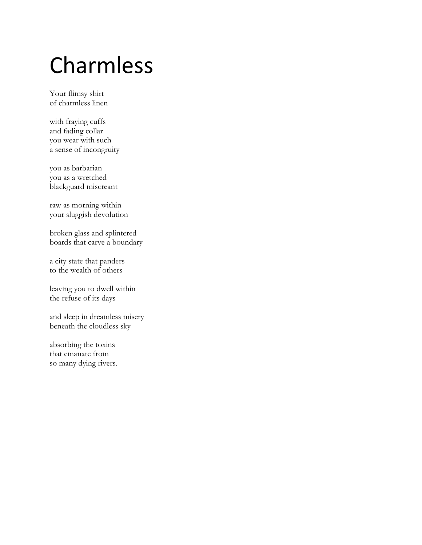## Charmless

Your flimsy shirt of charmless linen

with fraying cuffs and fading collar you wear with such a sense of incongruity

you as barbarian you as a wretched blackguard miscreant

raw as morning within your sluggish devolution

broken glass and splintered boards that carve a boundary

a city state that panders to the wealth of others

leaving you to dwell within the refuse of its days

and sleep in dreamless misery beneath the cloudless sky

absorbing the toxins that emanate from so many dying rivers.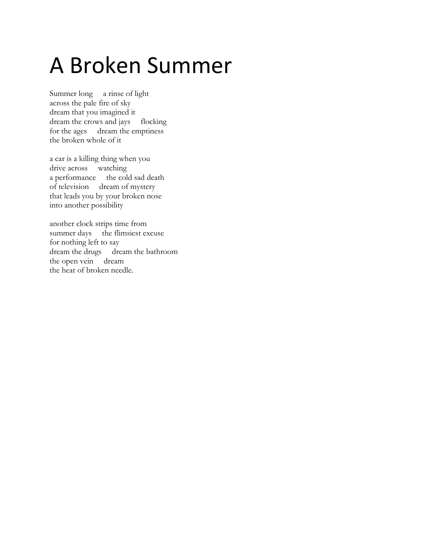## A Broken Summer

Summer long a rinse of light across the pale fire of sky dream that you imagined it dream the crows and jays flocking for the ages dream the emptiness the broken whole of it

a car is a killing thing when you drive across watching a performance the cold sad death of television dream of mystery that leads you by your broken nose into another possibility

another clock strips time from summer days the flimsiest excuse for nothing left to say dream the drugs dream the bathroom the open vein dream the heat of broken needle.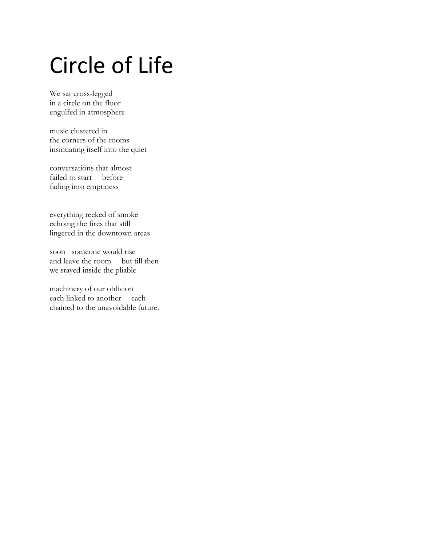# Circle of Life

We sat cross-legged in a circle on the floor engulfed in atmosphere

music clustered in the corners of the rooms insinuating itself into the quiet

conversations that almost failed to start before fading into emptiness

everything reeked of smoke echoing the fires that still lingered in the downtown areas

soon someone would rise and leave the room but till then we stayed inside the pliable

machinery of our oblivion each linked to another each chained to the unavoidable future.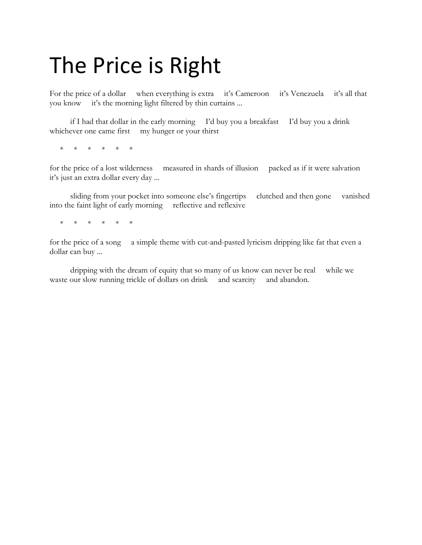### The Price is Right

For the price of a dollar when everything is extra it's Cameroon it's Venezuela it's all that you know it's the morning light filtered by thin curtains ...

 if I had that dollar in the early morning I'd buy you a breakfast I'd buy you a drink whichever one came first my hunger or your thirst

\* \* \* \* \* \*

for the price of a lost wilderness measured in shards of illusion packed as if it were salvation it's just an extra dollar every day ...

 sliding from your pocket into someone else's fingertips clutched and then gone vanished into the faint light of early morning reflective and reflexive

\* \* \* \* \*

for the price of a song a simple theme with cut-and-pasted lyricism dripping like fat that even a dollar can buy ...

 dripping with the dream of equity that so many of us know can never be real while we waste our slow running trickle of dollars on drink and scarcity and abandon.